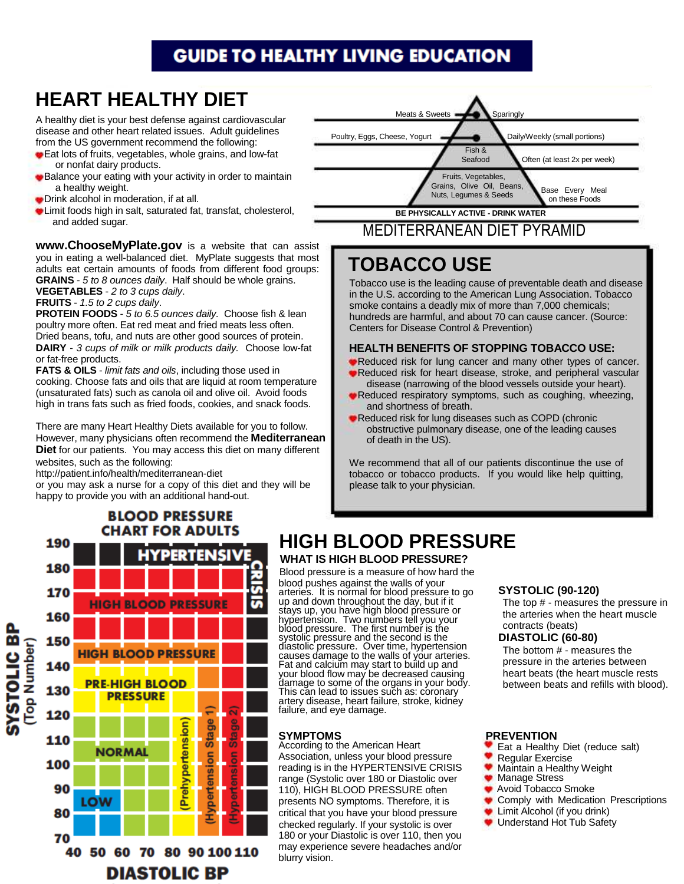## **GUIDE TO HEALTHY LIVING EDUCATION**

# AL **HEART HEALTHY DIET**

A healthy diet is your best defense against cardiovascular disease and other heart related issues. Adult guidelines from the US government recommend the following:

- Eat lots of fruits, vegetables, whole grains, and low-fat or nonfat dairy products.
- **Balance your eating with your activity in order to maintain** a healthy weight.
- Drink alcohol in moderation, if at all.
- Limit foods high in salt, saturated fat, transfat, cholesterol, and added sugar.

**www.ChooseMyPlate.gov** is a website that can assist you in eating a well-balanced diet. MyPlate suggests that most adults eat certain amounts of foods from different food groups: **GRAINS** - 5 to 8 ounces daily. Half should be whole grains. **VEGETABLES** - 2 to 3 cups daily.

**FRUITS** - 1.5 to 2 cups daily.

**PROTEIN FOODS** - 5 to 6.5 ounces daily. Choose fish & lean poultry more often. Eat red meat and fried meats less often. Dried beans, tofu, and nuts are other good sources of protein. **DAIRY** - 3 cups of milk or milk products daily. Choose low-fat or fat-free products.

**FATS & OILS** - *limit fats and oils*, including those used in cooking. Choose fats and oils that are liquid at room temperature (unsaturated fats) such as canola oil and olive oil. Avoid foods high in trans fats such as fried foods, cookies, and snack foods.

There are many Heart Healthy Diets available for you to follow. However, many physicians often recommend the **Mediterranean Diet** for our patients. You may access this diet on many different websites, such as the following:

http://patient.info/health/mediterranean-diet

or you may ask a nurse for a copy of this diet and they will be happy to provide you with an additional hand-out.



### MEDITERRANEAN DIET PYRAMID

# **TOBACCO USE**

Tobacco use is the leading cause of preventable death and disease in the U.S. according to the American Lung Association. Tobacco smoke contains a deadly mix of more than 7,000 chemicals; hundreds are harmful, and about 70 can cause cancer. (Source: Centers for Disease Control & Prevention)

#### **HEALTH BENEFITS OF STOPPING TOBACCO USE:**

- Reduced risk for lung cancer and many other types of cancer.
- Reduced risk for heart disease, stroke, and peripheral vascular disease (narrowing of the blood vessels outside your heart).
- Reduced respiratory symptoms, such as coughing, wheezing, and shortness of breath.
- Reduced risk for lung diseases such as COPD (chronic obstructive pulmonary disease, one of the leading causes of death in the US).

We recommend that all of our patients discontinue the use of tobacco or tobacco products. If you would like help quitting, please talk to your physician.



# **HIGH BLOOD PRESSURE**

#### **WHAT IS HIGH BLOOD PRESSURE?**

Blood pressure is a measure of how hard the blood pushes against the walls of your arteries. It is normal for blood pressure to go up and down throughout the day, but if it stays up, you have high blood pressure or hypertension. Two numbers tell you your blood pressure. The first number is the systolic pressure and the second is the diastolic pressure. Over time, hypertension causes damage to the walls of your arteries. Fat and calcium may start to build up and your blood flow may be decreased causing damage to some of the organs in your body. This can lead to issues such as: coronary artery disease, heart failure, stroke, kidnéy failure, and eye damage.

#### **SYMPTOMS**

According to the American Heart Association, unless your blood pressure reading is in the HYPERTENSIVE CRISIS range (Systolic over 180 or Diastolic over 110), HIGH BLOOD PRESSURE often presents NO symptoms. Therefore, it is critical that you have your blood pressure checked regularly. If your systolic is over 180 or your Diastolic is over 110, then you may experience severe headaches and/or blurry vision.

#### **SYSTOLIC (90-120)**  The top # - it measures **SYSTOLIC (90-120)**

The top  $#$  - measures the pressure in the arteries when the heart muscle contracts (beats).

#### **DIASTOLIC (60-80) DIASTOLIC (60-80)**

The bottom # - measures the pressure in the arteries between heart beats (the heart muscle rests between beats and refills with blood).

#### **PREVENTION**

- Eat a Healthy Diet (reduce salt)
- ۰ Regular Exercise
- Maintain a Healthy Weight
- Manage Stress
- Avoid Tobacco Smoke
- Comply with Medication Prescriptions
- Limit Alcohol (if you drink)
- Understand Hot Tub Safety